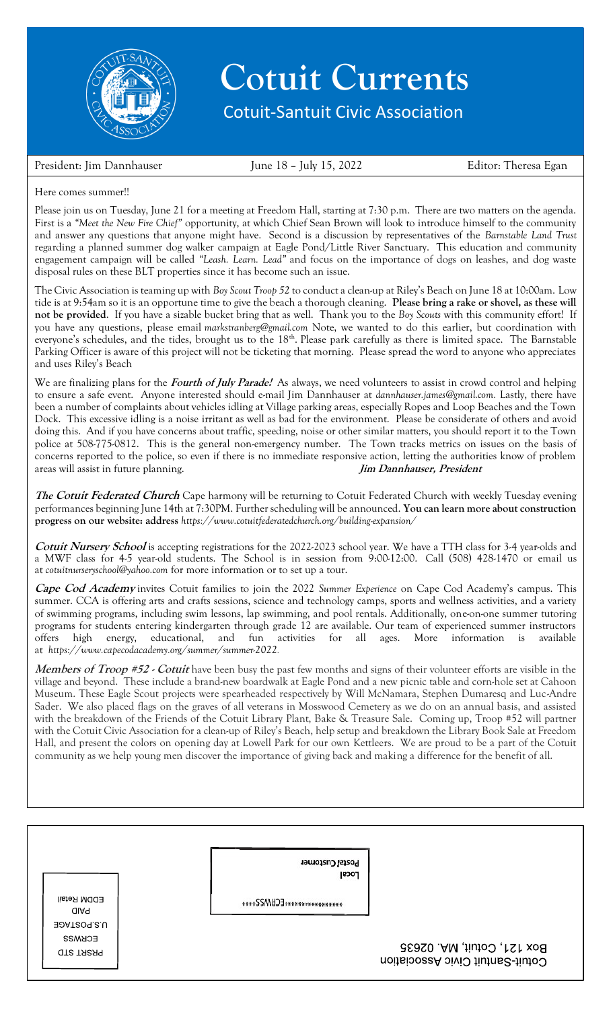

## **Cotuit Currents**

Cotuit-Santuit Civic Association

President: Jim Dannhauser June 18 – July 15, 2022 Editor: Theresa Egan

## Here comes summer!!

Please join us on Tuesday, June 21 for a meeting at Freedom Hall, starting at 7:30 p.m. There are two matters on the agenda. First is a *"Meet the New Fire Chief"* opportunity, at which Chief Sean Brown will look to introduce himself to the community and answer any questions that anyone might have. Second is a discussion by representatives of the *Barnstable Land Trust* regarding a planned summer dog walker campaign at Eagle Pond/Little River Sanctuary. This education and community engagement campaign will be called *"Leash. Learn. Lead"* and focus on the importance of dogs on leashes, and dog waste disposal rules on these BLT properties since it has become such an issue.

The Civic Association is teaming up with *Boy Scout Troop 52* to conduct a clean-up at Riley's Beach on June 18 at 10:00am. Low tide is at 9:54am so it is an opportune time to give the beach a thorough cleaning. **Please bring a rake or shovel, as these will not be provided**. If you have a sizable bucket bring that as well. Thank you to the *Boy Scouts* with this community effort! If you have any questions, please email *[markstranberg@gmail.com](mailto:markstranberg@gmail.com)* Note, we wanted to do this earlier, but coordination with everyone's schedules, and the tides, brought us to the 18<sup>th</sup>. Please park carefully as there is limited space. The Barnstable Parking Officer is aware of this project will not be ticketing that morning. Please spread the word to anyone who appreciates and uses Riley's Beach

We are finalizing plans for the **Fourt[h of July Parade!](mailto:markstranberg@gmail.com)** As always, we need volunteers to assist in crowd control and helping to ensure a safe event. Anyone interested should e-mail Jim Dannhauser at *[dannhauser.james@gmail.com.](mailto:dannhauser.james@gmail.com)* Lastly, there have been a number of complaints about vehicles idling at Village parking areas, especially Ropes and Loop Beaches and the Town Dock. This excessive idling is a noise irritant as well as bad for the environment. Please be considerate of others and avoid doing this. And if you have concerns about traffic, speeding, noise or other similar matters, you should report it to the Town police at 508-775-0812. This is the general non-emergency number. The Town tracks metrics on issues on the basis of concerns reported to the police, so even if there is no immediate responsive a[ction, letting the authorities](mailto:dannhauser.james@gmail.com) know of problem areas will assist in future planning. **Jim Dannhauser, President**

**The Cotuit Federated Church** Cape harmony will be returning to Cotuit Federated Church with weekly Tuesday evening performances beginning June 14th at 7:30PM. Further scheduling will be announced. **You can learn more about construction progress on our website: address** *<https://www.cotuitfederatedchurch.org/building-expansion/>*

**Cotuit Nursery School** is accepting registrations for the 2022-2023 school year. We have a TTH class for 3-4 year-olds and a MWF class for 4-5 year-old students. The School is in session from 9:00-12:00. Call (508) 428-1470 or email us at *[cotuitnurseryschool@yahoo.com](mailto:cotuitnurseryschool@yahoo.com)* for more information or to set up a tour.

**Cape Cod Academy** invites C[otuit families to join the 2022](https://www.cotuitfederatedchurch.org/building-expansion/) *Summer Experience* on Cape Cod Academy's campus. This summer. CCA is offering arts and crafts sessions, science and technology camps, sports and wellness activities, and a variety of swimming programs, including swim lessons, lap swimming, and pool rentals. Additionally, one-on-one summer tutoring programs for students entering kindergarten through grade 12 are available. Our team of experienced summer instructors offers high energy, educational, and fun activities for all ages. More information is available at *[https://www.capecodacademy.](mailto:cotuitnurseryschool@yahoo.com)org/summer/summer-2022.*

**Members of Troop #52 - Cotuit** have been busy the past few months and signs of their volunteer efforts are visible in the village and beyond. These include a brand-new boardwalk at Eagle Pond and a new picnic table and corn-hole set at Cahoon Museum. These Eagle Scout projects were spearheaded respectively by Will McNamara, Stephen Dumaresq and Luc-Andre Sader. We also placed flags on the graves of all veterans in Mosswood Cemetery as we do on an annual basis, and assisted with the breakdown of the Friends of the Cotuit Library Plant, Bake & Treasure Sale. Coming up, Troop #52 will partner with the Cotuit Civic Association for a clean-up of Riley's Beach, help setup and breakdown the Library Book Sale at Freedom Hall, and present the colors on opening day at Lowell Park for our own Kettleers. We are proud to be a part of the Cotuit community as we help young men discover the importance of giving back and making a difference for the benefit of all.

Postal Customer Local **EDDM Retail** \*\*\*\*\*\*\*\*\*\*\*\*\*\*\*\*\*\*\*\*\*\*\*\*\* **HAID** U.S.POSTAGE **ECKMSS** Box 121, Cotuit, MA. 02635 **OTS TASA9** Cotuit-Santuit Civic Association